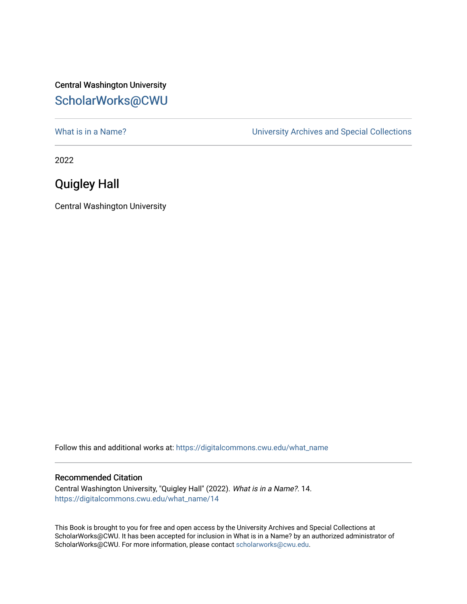## Central Washington University [ScholarWorks@CWU](https://digitalcommons.cwu.edu/)

[What is in a Name?](https://digitalcommons.cwu.edu/what_name) **What is in a Name?** University Archives and Special Collections

2022

## Quigley Hall

Central Washington University

Follow this and additional works at: [https://digitalcommons.cwu.edu/what\\_name](https://digitalcommons.cwu.edu/what_name?utm_source=digitalcommons.cwu.edu%2Fwhat_name%2F14&utm_medium=PDF&utm_campaign=PDFCoverPages) 

## Recommended Citation

Central Washington University, "Quigley Hall" (2022). What is in a Name?. 14. [https://digitalcommons.cwu.edu/what\\_name/14](https://digitalcommons.cwu.edu/what_name/14?utm_source=digitalcommons.cwu.edu%2Fwhat_name%2F14&utm_medium=PDF&utm_campaign=PDFCoverPages) 

This Book is brought to you for free and open access by the University Archives and Special Collections at ScholarWorks@CWU. It has been accepted for inclusion in What is in a Name? by an authorized administrator of ScholarWorks@CWU. For more information, please contact [scholarworks@cwu.edu](mailto:scholarworks@cwu.edu).